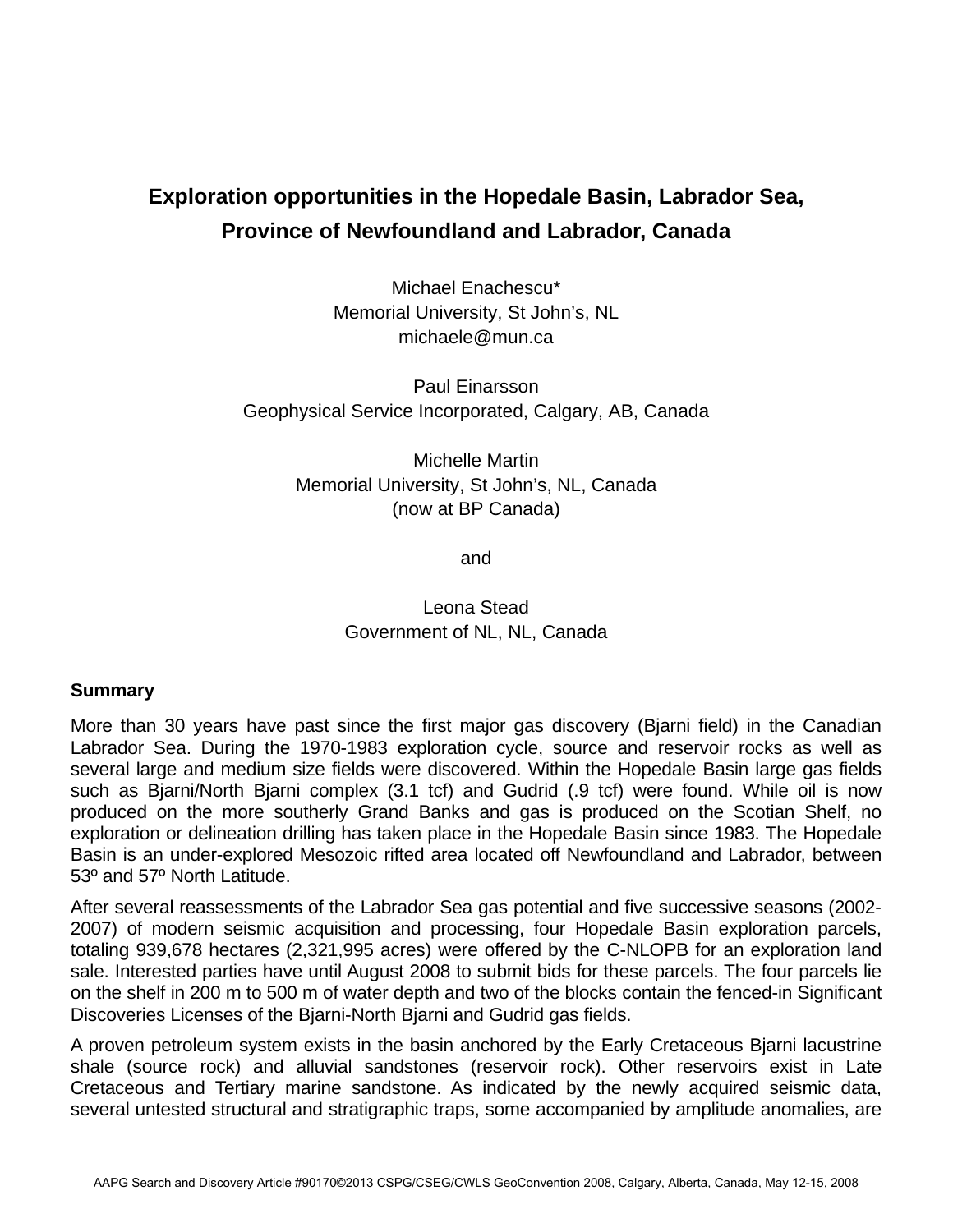## **Exploration opportunities in the Hopedale Basin, Labrador Sea, Province of Newfoundland and Labrador, Canada**

Michael Enachescu\* Memorial University, St John's, NL michaele@mun.ca

Paul Einarsson Geophysical Service Incorporated, Calgary, AB, Canada

> Michelle Martin Memorial University, St John's, NL, Canada (now at BP Canada)

> > and

Leona Stead Government of NL, NL, Canada

## **Summary**

More than 30 years have past since the first major gas discovery (Bjarni field) in the Canadian Labrador Sea. During the 1970-1983 exploration cycle, source and reservoir rocks as well as several large and medium size fields were discovered. Within the Hopedale Basin large gas fields such as Bjarni/North Bjarni complex (3.1 tcf) and Gudrid (.9 tcf) were found. While oil is now produced on the more southerly Grand Banks and gas is produced on the Scotian Shelf, no exploration or delineation drilling has taken place in the Hopedale Basin since 1983. The Hopedale Basin is an under-explored Mesozoic rifted area located off Newfoundland and Labrador, between 53º and 57º North Latitude.

After several reassessments of the Labrador Sea gas potential and five successive seasons (2002- 2007) of modern seismic acquisition and processing, four Hopedale Basin exploration parcels, totaling 939,678 hectares (2,321,995 acres) were offered by the C-NLOPB for an exploration land sale. Interested parties have until August 2008 to submit bids for these parcels. The four parcels lie on the shelf in 200 m to 500 m of water depth and two of the blocks contain the fenced-in Significant Discoveries Licenses of the Bjarni-North Bjarni and Gudrid gas fields.

A proven petroleum system exists in the basin anchored by the Early Cretaceous Bjarni lacustrine shale (source rock) and alluvial sandstones (reservoir rock). Other reservoirs exist in Late Cretaceous and Tertiary marine sandstone. As indicated by the newly acquired seismic data, several untested structural and stratigraphic traps, some accompanied by amplitude anomalies, are